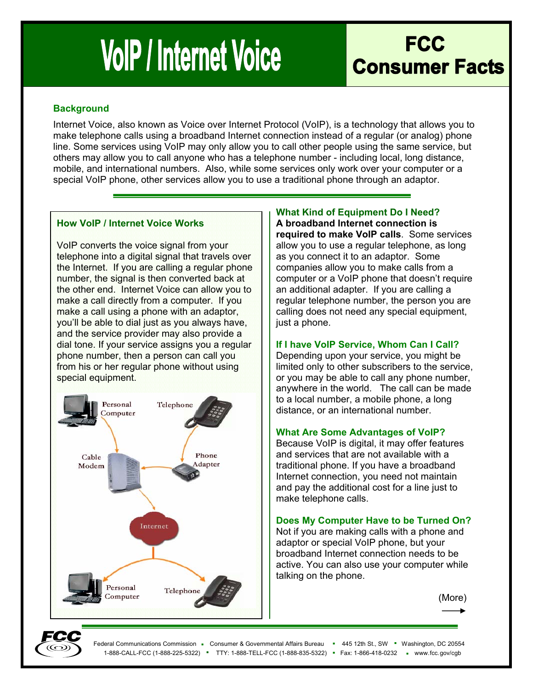# **VolP / Internet Voice**

# **FCC Consumer Facts**

#### **Background**

Internet Voice, also known as Voice over Internet Protocol (VoIP), is a technology that allows you to make telephone calls using a broadband Internet connection instead of a regular (or analog) phone line. Some services using VoIP may only allow you to call other people using the same service, but others may allow you to call anyone who has a telephone number - including local, long distance, mobile, and international numbers. Also, while some services only work over your computer or a special VoIP phone, other services allow you to use a traditional phone through an adaptor.

#### **How VoIP / Internet Voice Works**

VoIP converts the voice signal from your telephone into a digital signal that travels over the Internet. If you are calling a regular phone number, the signal is then converted back at the other end. Internet Voice can allow you to make a call directly from a computer. If you make a call using a phone with an adaptor, you'll be able to dial just as you always have, and the service provider may also provide a dial tone. If your service assigns you a regular phone number, then a person can call you from his or her regular phone without using special equipment.



## **What Kind of Equipment Do I Need?**

**A broadband Internet connection is required to make VoIP calls**. Some services allow you to use a regular telephone, as long as you connect it to an adaptor. Some companies allow you to make calls from a computer or a VoIP phone that doesn't require an additional adapter. If you are calling a regular telephone number, the person you are calling does not need any special equipment, just a phone.

#### **If I have VoIP Service, Whom Can I Call?**

Depending upon your service, you might be limited only to other subscribers to the service, or you may be able to call any phone number, anywhere in the world. The call can be made to a local number, a mobile phone, a long distance, or an international number.

#### **What Are Some Advantages of VoIP?**

Because VoIP is digital, it may offer features and services that are not available with a traditional phone. If you have a broadband Internet connection, you need not maintain and pay the additional cost for a line just to make telephone calls.

#### **Does My Computer Have to be Turned On?**

Not if you are making calls with a phone and adaptor or special VoIP phone, but your broadband Internet connection needs to be active. You can also use your computer while talking on the phone.

(More)